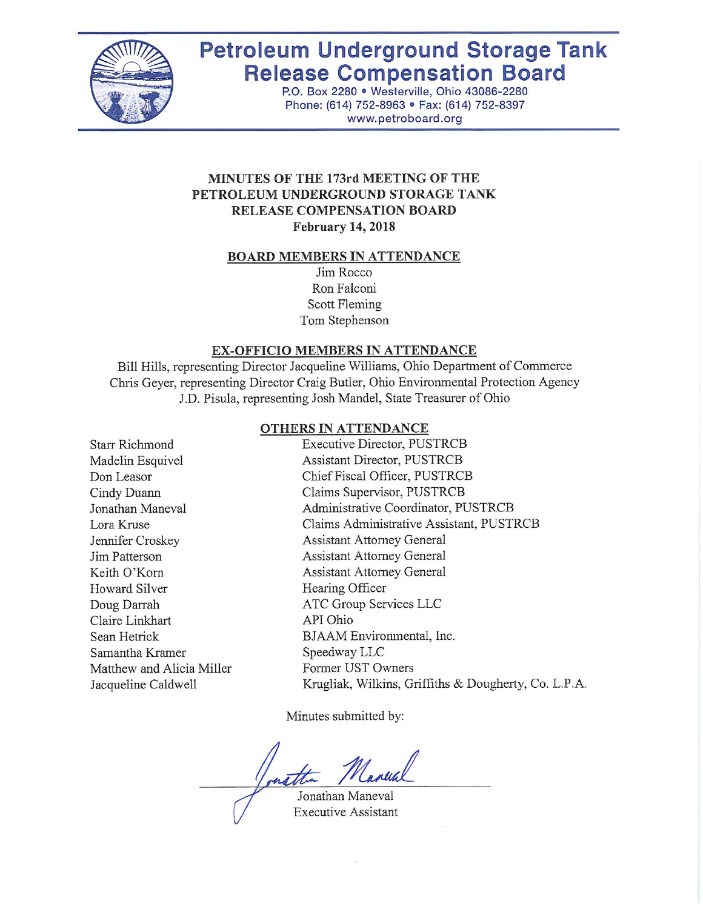

# **Petroleum Underground Storage Tank Release Compensation Board**

P.O. Box 2280 · Westerville, Ohio 43086-2280 Phone: (614) 752-8963 · Fax: (614) 752-8397 www.petroboard.org

## MINUTES OF THE 173rd MEETING OF THE PETROLEUM UNDERGROUND STORAGE TANK RELEASE COMPENSATION BOARD **February 14, 2018**

#### **BOARD MEMBERS IN ATTENDANCE**

Jim Rocco Ron Falconi Scott Fleming Tom Stephenson

#### EX-OFFICIO MEMBERS IN ATTENDANCE

Bill Hills, representing Director Jacqueline Williams, Ohio Department of Commerce Chris Geyer, representing Director Craig Butler, Ohio Environmental Protection Agency J.D. Pisula, representing Josh Mandel, State Treasurer of Ohio

#### **OTHERS IN ATTENDANCE**

| <b>Starr Richmond</b>     | Executive Director, PUSTRCB                          |
|---------------------------|------------------------------------------------------|
| Madelin Esquivel          | Assistant Director, PUSTRCB                          |
| Don Leasor                | Chief Fiscal Officer, PUSTRCB                        |
| Cindy Duann               | Claims Supervisor, PUSTRCB                           |
| Jonathan Maneval          | Administrative Coordinator, PUSTRCB                  |
| Lora Kruse                | Claims Administrative Assistant, PUSTRCB             |
| Jennifer Croskey          | <b>Assistant Attorney General</b>                    |
| Jim Patterson             | <b>Assistant Attorney General</b>                    |
| Keith O'Korn              | <b>Assistant Attorney General</b>                    |
| Howard Silver             | Hearing Officer                                      |
| Doug Darrah               | ATC Group Services LLC                               |
| Claire Linkhart           | API Ohio                                             |
| Sean Hetrick              | BJAAM Environmental, Inc.                            |
| Samantha Kramer           | Speedway LLC                                         |
| Matthew and Alicia Miller | Former UST Owners                                    |
| Jacqueline Caldwell       | Krugliak, Wilkins, Griffiths & Dougherty, Co. L.P.A. |
|                           |                                                      |

Minutes submitted by:

Jonathan Maneval **Executive Assistant**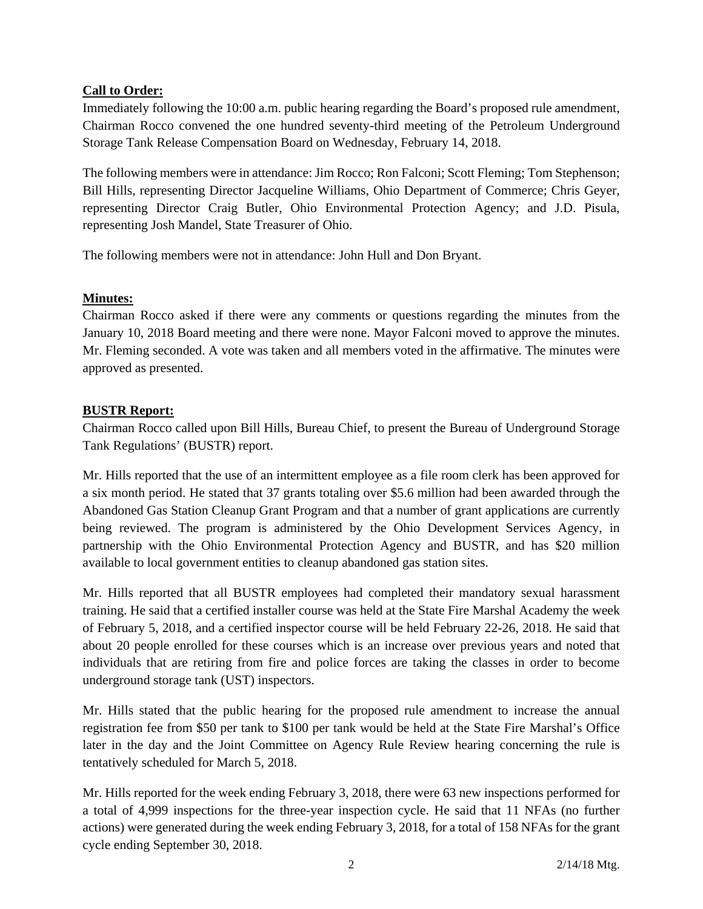## **Call to Order:**

Immediately following the 10:00 a.m. public hearing regarding the Board's proposed rule amendment, Chairman Rocco convened the one hundred seventy-third meeting of the Petroleum Underground Storage Tank Release Compensation Board on Wednesday, February 14, 2018.

The following members were in attendance: Jim Rocco; Ron Falconi; Scott Fleming; Tom Stephenson; Bill Hills, representing Director Jacqueline Williams, Ohio Department of Commerce; Chris Geyer, representing Director Craig Butler, Ohio Environmental Protection Agency; and J.D. Pisula, representing Josh Mandel, State Treasurer of Ohio.

The following members were not in attendance: John Hull and Don Bryant.

## **Minutes:**

Chairman Rocco asked if there were any comments or questions regarding the minutes from the January 10, 2018 Board meeting and there were none. Mayor Falconi moved to approve the minutes. Mr. Fleming seconded. A vote was taken and all members voted in the affirmative. The minutes were approved as presented.

## **BUSTR Report:**

Chairman Rocco called upon Bill Hills, Bureau Chief, to present the Bureau of Underground Storage Tank Regulations' (BUSTR) report.

Mr. Hills reported that the use of an intermittent employee as a file room clerk has been approved for a six month period. He stated that 37 grants totaling over \$5.6 million had been awarded through the Abandoned Gas Station Cleanup Grant Program and that a number of grant applications are currently being reviewed. The program is administered by the Ohio Development Services Agency, in partnership with the Ohio Environmental Protection Agency and BUSTR, and has \$20 million available to local government entities to cleanup abandoned gas station sites.

Mr. Hills reported that all BUSTR employees had completed their mandatory sexual harassment training. He said that a certified installer course was held at the State Fire Marshal Academy the week of February 5, 2018, and a certified inspector course will be held February 22-26, 2018. He said that about 20 people enrolled for these courses which is an increase over previous years and noted that individuals that are retiring from fire and police forces are taking the classes in order to become underground storage tank (UST) inspectors.

Mr. Hills stated that the public hearing for the proposed rule amendment to increase the annual registration fee from \$50 per tank to \$100 per tank would be held at the State Fire Marshal's Office later in the day and the Joint Committee on Agency Rule Review hearing concerning the rule is tentatively scheduled for March 5, 2018.

Mr. Hills reported for the week ending February 3, 2018, there were 63 new inspections performed for a total of 4,999 inspections for the three-year inspection cycle. He said that 11 NFAs (no further actions) were generated during the week ending February 3, 2018, for a total of 158 NFAs for the grant cycle ending September 30, 2018.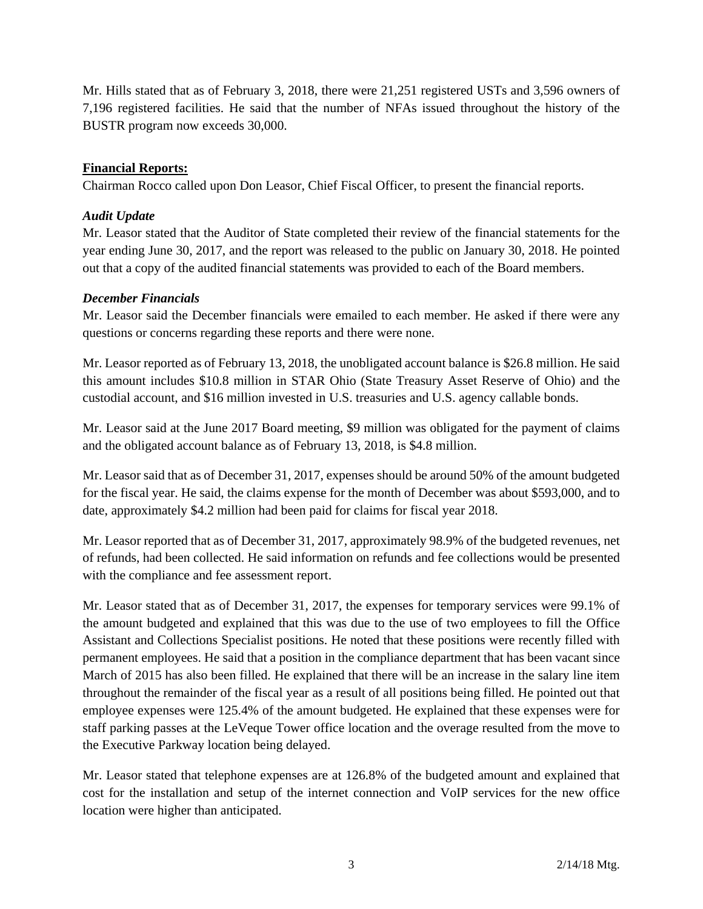Mr. Hills stated that as of February 3, 2018, there were 21,251 registered USTs and 3,596 owners of 7,196 registered facilities. He said that the number of NFAs issued throughout the history of the BUSTR program now exceeds 30,000.

## **Financial Reports:**

Chairman Rocco called upon Don Leasor, Chief Fiscal Officer, to present the financial reports.

#### *Audit Update*

Mr. Leasor stated that the Auditor of State completed their review of the financial statements for the year ending June 30, 2017, and the report was released to the public on January 30, 2018. He pointed out that a copy of the audited financial statements was provided to each of the Board members.

## *December Financials*

Mr. Leasor said the December financials were emailed to each member. He asked if there were any questions or concerns regarding these reports and there were none.

Mr. Leasor reported as of February 13, 2018, the unobligated account balance is \$26.8 million. He said this amount includes \$10.8 million in STAR Ohio (State Treasury Asset Reserve of Ohio) and the custodial account, and \$16 million invested in U.S. treasuries and U.S. agency callable bonds.

Mr. Leasor said at the June 2017 Board meeting, \$9 million was obligated for the payment of claims and the obligated account balance as of February 13, 2018, is \$4.8 million.

Mr. Leasor said that as of December 31, 2017, expenses should be around 50% of the amount budgeted for the fiscal year. He said, the claims expense for the month of December was about \$593,000, and to date, approximately \$4.2 million had been paid for claims for fiscal year 2018.

Mr. Leasor reported that as of December 31, 2017, approximately 98.9% of the budgeted revenues, net of refunds, had been collected. He said information on refunds and fee collections would be presented with the compliance and fee assessment report.

Mr. Leasor stated that as of December 31, 2017, the expenses for temporary services were 99.1% of the amount budgeted and explained that this was due to the use of two employees to fill the Office Assistant and Collections Specialist positions. He noted that these positions were recently filled with permanent employees. He said that a position in the compliance department that has been vacant since March of 2015 has also been filled. He explained that there will be an increase in the salary line item throughout the remainder of the fiscal year as a result of all positions being filled. He pointed out that employee expenses were 125.4% of the amount budgeted. He explained that these expenses were for staff parking passes at the LeVeque Tower office location and the overage resulted from the move to the Executive Parkway location being delayed.

Mr. Leasor stated that telephone expenses are at 126.8% of the budgeted amount and explained that cost for the installation and setup of the internet connection and VoIP services for the new office location were higher than anticipated.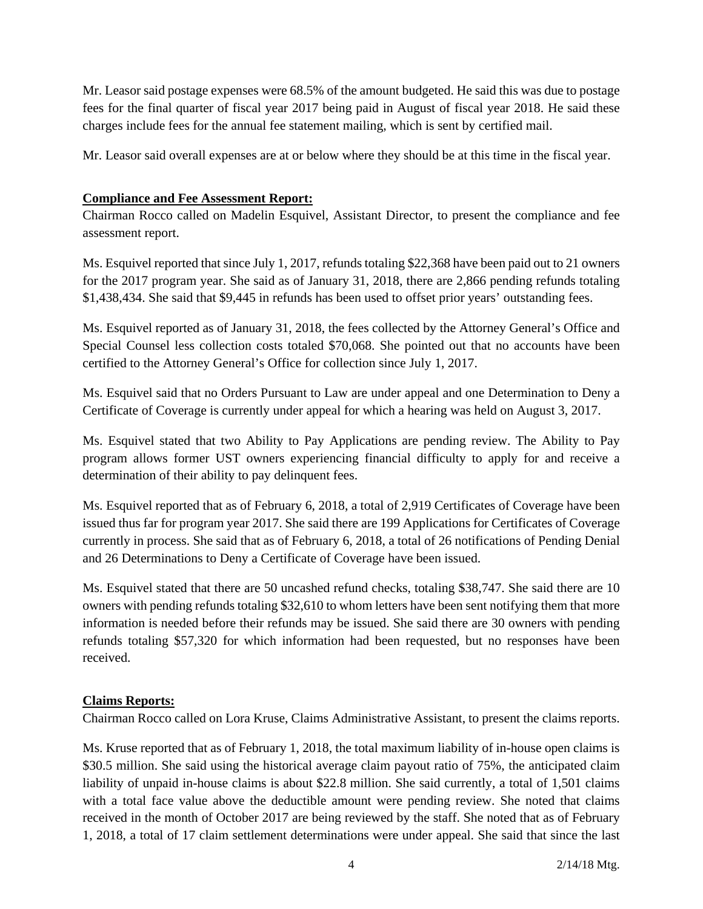Mr. Leasor said postage expenses were 68.5% of the amount budgeted. He said this was due to postage fees for the final quarter of fiscal year 2017 being paid in August of fiscal year 2018. He said these charges include fees for the annual fee statement mailing, which is sent by certified mail.

Mr. Leasor said overall expenses are at or below where they should be at this time in the fiscal year.

## **Compliance and Fee Assessment Report:**

Chairman Rocco called on Madelin Esquivel, Assistant Director, to present the compliance and fee assessment report.

Ms. Esquivel reported that since July 1, 2017, refunds totaling \$22,368 have been paid out to 21 owners for the 2017 program year. She said as of January 31, 2018, there are 2,866 pending refunds totaling \$1,438,434. She said that \$9,445 in refunds has been used to offset prior years' outstanding fees.

Ms. Esquivel reported as of January 31, 2018, the fees collected by the Attorney General's Office and Special Counsel less collection costs totaled \$70,068. She pointed out that no accounts have been certified to the Attorney General's Office for collection since July 1, 2017.

Ms. Esquivel said that no Orders Pursuant to Law are under appeal and one Determination to Deny a Certificate of Coverage is currently under appeal for which a hearing was held on August 3, 2017.

Ms. Esquivel stated that two Ability to Pay Applications are pending review. The Ability to Pay program allows former UST owners experiencing financial difficulty to apply for and receive a determination of their ability to pay delinquent fees.

Ms. Esquivel reported that as of February 6, 2018, a total of 2,919 Certificates of Coverage have been issued thus far for program year 2017. She said there are 199 Applications for Certificates of Coverage currently in process. She said that as of February 6, 2018, a total of 26 notifications of Pending Denial and 26 Determinations to Deny a Certificate of Coverage have been issued.

Ms. Esquivel stated that there are 50 uncashed refund checks, totaling \$38,747. She said there are 10 owners with pending refunds totaling \$32,610 to whom letters have been sent notifying them that more information is needed before their refunds may be issued. She said there are 30 owners with pending refunds totaling \$57,320 for which information had been requested, but no responses have been received.

#### **Claims Reports:**

Chairman Rocco called on Lora Kruse, Claims Administrative Assistant, to present the claims reports.

Ms. Kruse reported that as of February 1, 2018, the total maximum liability of in-house open claims is \$30.5 million. She said using the historical average claim payout ratio of 75%, the anticipated claim liability of unpaid in-house claims is about \$22.8 million. She said currently, a total of 1,501 claims with a total face value above the deductible amount were pending review. She noted that claims received in the month of October 2017 are being reviewed by the staff. She noted that as of February 1, 2018, a total of 17 claim settlement determinations were under appeal. She said that since the last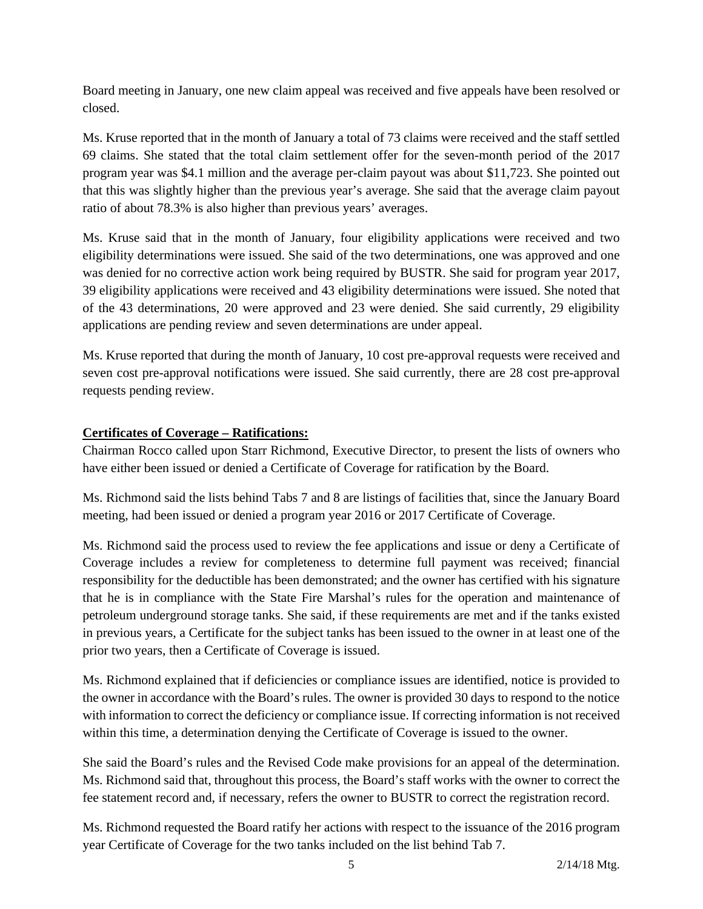Board meeting in January, one new claim appeal was received and five appeals have been resolved or closed.

Ms. Kruse reported that in the month of January a total of 73 claims were received and the staff settled 69 claims. She stated that the total claim settlement offer for the seven-month period of the 2017 program year was \$4.1 million and the average per-claim payout was about \$11,723. She pointed out that this was slightly higher than the previous year's average. She said that the average claim payout ratio of about 78.3% is also higher than previous years' averages.

Ms. Kruse said that in the month of January, four eligibility applications were received and two eligibility determinations were issued. She said of the two determinations, one was approved and one was denied for no corrective action work being required by BUSTR. She said for program year 2017, 39 eligibility applications were received and 43 eligibility determinations were issued. She noted that of the 43 determinations, 20 were approved and 23 were denied. She said currently, 29 eligibility applications are pending review and seven determinations are under appeal.

Ms. Kruse reported that during the month of January, 10 cost pre-approval requests were received and seven cost pre-approval notifications were issued. She said currently, there are 28 cost pre-approval requests pending review.

## **Certificates of Coverage – Ratifications:**

Chairman Rocco called upon Starr Richmond, Executive Director, to present the lists of owners who have either been issued or denied a Certificate of Coverage for ratification by the Board.

Ms. Richmond said the lists behind Tabs 7 and 8 are listings of facilities that, since the January Board meeting, had been issued or denied a program year 2016 or 2017 Certificate of Coverage.

Ms. Richmond said the process used to review the fee applications and issue or deny a Certificate of Coverage includes a review for completeness to determine full payment was received; financial responsibility for the deductible has been demonstrated; and the owner has certified with his signature that he is in compliance with the State Fire Marshal's rules for the operation and maintenance of petroleum underground storage tanks. She said, if these requirements are met and if the tanks existed in previous years, a Certificate for the subject tanks has been issued to the owner in at least one of the prior two years, then a Certificate of Coverage is issued.

Ms. Richmond explained that if deficiencies or compliance issues are identified, notice is provided to the owner in accordance with the Board's rules. The owner is provided 30 days to respond to the notice with information to correct the deficiency or compliance issue. If correcting information is not received within this time, a determination denying the Certificate of Coverage is issued to the owner.

She said the Board's rules and the Revised Code make provisions for an appeal of the determination. Ms. Richmond said that, throughout this process, the Board's staff works with the owner to correct the fee statement record and, if necessary, refers the owner to BUSTR to correct the registration record.

Ms. Richmond requested the Board ratify her actions with respect to the issuance of the 2016 program year Certificate of Coverage for the two tanks included on the list behind Tab 7.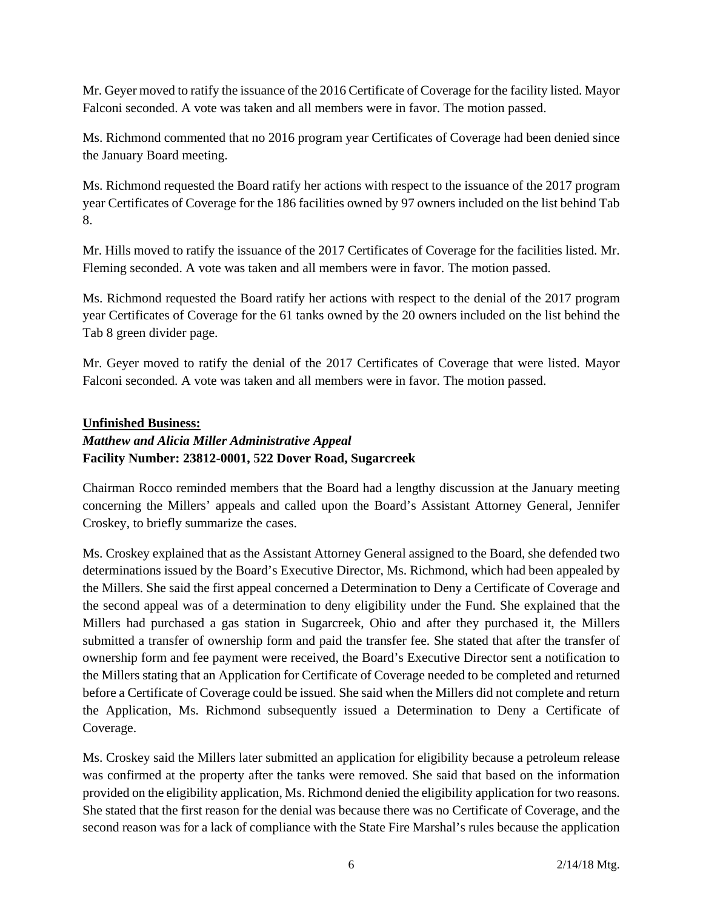Mr. Geyer moved to ratify the issuance of the 2016 Certificate of Coverage for the facility listed. Mayor Falconi seconded. A vote was taken and all members were in favor. The motion passed.

Ms. Richmond commented that no 2016 program year Certificates of Coverage had been denied since the January Board meeting.

Ms. Richmond requested the Board ratify her actions with respect to the issuance of the 2017 program year Certificates of Coverage for the 186 facilities owned by 97 owners included on the list behind Tab 8.

Mr. Hills moved to ratify the issuance of the 2017 Certificates of Coverage for the facilities listed. Mr. Fleming seconded. A vote was taken and all members were in favor. The motion passed.

Ms. Richmond requested the Board ratify her actions with respect to the denial of the 2017 program year Certificates of Coverage for the 61 tanks owned by the 20 owners included on the list behind the Tab 8 green divider page.

Mr. Geyer moved to ratify the denial of the 2017 Certificates of Coverage that were listed. Mayor Falconi seconded. A vote was taken and all members were in favor. The motion passed.

## **Unfinished Business:**

## *Matthew and Alicia Miller Administrative Appeal*  **Facility Number: 23812-0001, 522 Dover Road, Sugarcreek**

Chairman Rocco reminded members that the Board had a lengthy discussion at the January meeting concerning the Millers' appeals and called upon the Board's Assistant Attorney General, Jennifer Croskey, to briefly summarize the cases.

Ms. Croskey explained that as the Assistant Attorney General assigned to the Board, she defended two determinations issued by the Board's Executive Director, Ms. Richmond, which had been appealed by the Millers. She said the first appeal concerned a Determination to Deny a Certificate of Coverage and the second appeal was of a determination to deny eligibility under the Fund. She explained that the Millers had purchased a gas station in Sugarcreek, Ohio and after they purchased it, the Millers submitted a transfer of ownership form and paid the transfer fee. She stated that after the transfer of ownership form and fee payment were received, the Board's Executive Director sent a notification to the Millers stating that an Application for Certificate of Coverage needed to be completed and returned before a Certificate of Coverage could be issued. She said when the Millers did not complete and return the Application, Ms. Richmond subsequently issued a Determination to Deny a Certificate of Coverage.

Ms. Croskey said the Millers later submitted an application for eligibility because a petroleum release was confirmed at the property after the tanks were removed. She said that based on the information provided on the eligibility application, Ms. Richmond denied the eligibility application for two reasons. She stated that the first reason for the denial was because there was no Certificate of Coverage, and the second reason was for a lack of compliance with the State Fire Marshal's rules because the application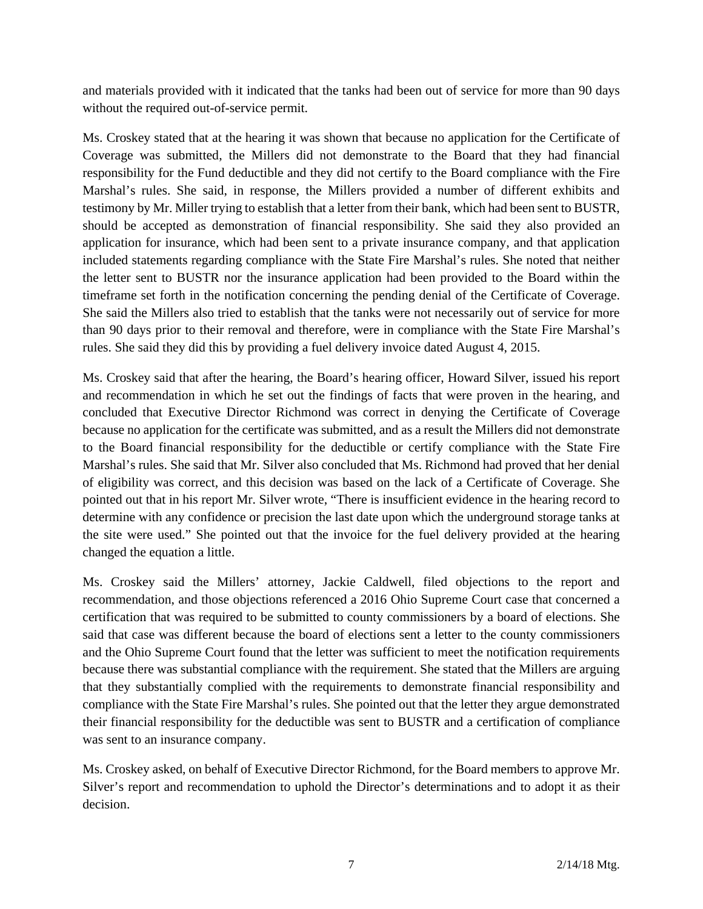and materials provided with it indicated that the tanks had been out of service for more than 90 days without the required out-of-service permit.

Ms. Croskey stated that at the hearing it was shown that because no application for the Certificate of Coverage was submitted, the Millers did not demonstrate to the Board that they had financial responsibility for the Fund deductible and they did not certify to the Board compliance with the Fire Marshal's rules. She said, in response, the Millers provided a number of different exhibits and testimony by Mr. Miller trying to establish that a letter from their bank, which had been sent to BUSTR, should be accepted as demonstration of financial responsibility. She said they also provided an application for insurance, which had been sent to a private insurance company, and that application included statements regarding compliance with the State Fire Marshal's rules. She noted that neither the letter sent to BUSTR nor the insurance application had been provided to the Board within the timeframe set forth in the notification concerning the pending denial of the Certificate of Coverage. She said the Millers also tried to establish that the tanks were not necessarily out of service for more than 90 days prior to their removal and therefore, were in compliance with the State Fire Marshal's rules. She said they did this by providing a fuel delivery invoice dated August 4, 2015.

Ms. Croskey said that after the hearing, the Board's hearing officer, Howard Silver, issued his report and recommendation in which he set out the findings of facts that were proven in the hearing, and concluded that Executive Director Richmond was correct in denying the Certificate of Coverage because no application for the certificate was submitted, and as a result the Millers did not demonstrate to the Board financial responsibility for the deductible or certify compliance with the State Fire Marshal's rules. She said that Mr. Silver also concluded that Ms. Richmond had proved that her denial of eligibility was correct, and this decision was based on the lack of a Certificate of Coverage. She pointed out that in his report Mr. Silver wrote, "There is insufficient evidence in the hearing record to determine with any confidence or precision the last date upon which the underground storage tanks at the site were used." She pointed out that the invoice for the fuel delivery provided at the hearing changed the equation a little.

Ms. Croskey said the Millers' attorney, Jackie Caldwell, filed objections to the report and recommendation, and those objections referenced a 2016 Ohio Supreme Court case that concerned a certification that was required to be submitted to county commissioners by a board of elections. She said that case was different because the board of elections sent a letter to the county commissioners and the Ohio Supreme Court found that the letter was sufficient to meet the notification requirements because there was substantial compliance with the requirement. She stated that the Millers are arguing that they substantially complied with the requirements to demonstrate financial responsibility and compliance with the State Fire Marshal's rules. She pointed out that the letter they argue demonstrated their financial responsibility for the deductible was sent to BUSTR and a certification of compliance was sent to an insurance company.

Ms. Croskey asked, on behalf of Executive Director Richmond, for the Board members to approve Mr. Silver's report and recommendation to uphold the Director's determinations and to adopt it as their decision.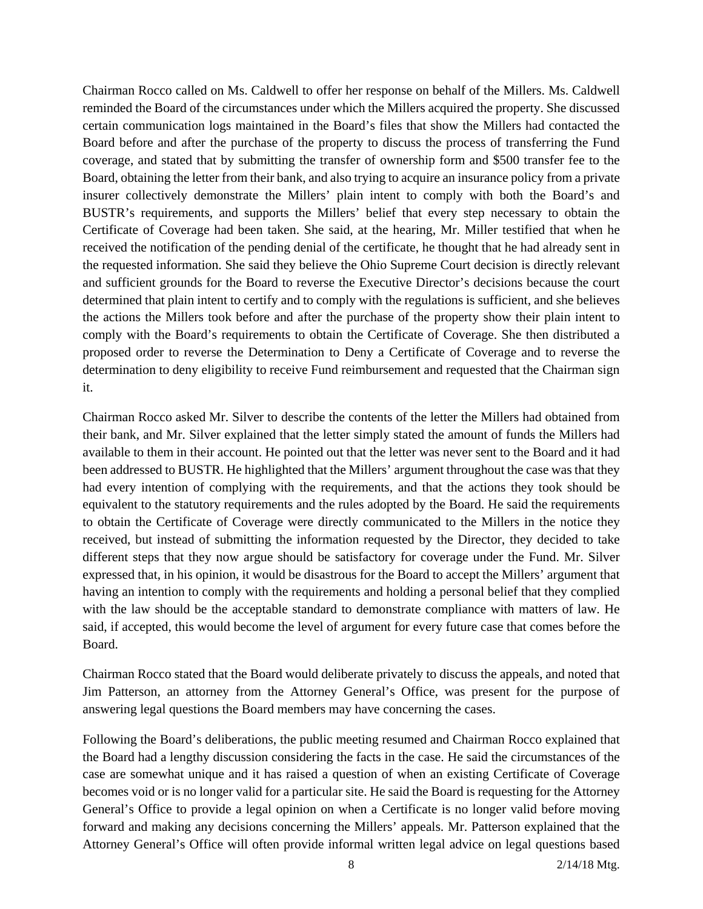Chairman Rocco called on Ms. Caldwell to offer her response on behalf of the Millers. Ms. Caldwell reminded the Board of the circumstances under which the Millers acquired the property. She discussed certain communication logs maintained in the Board's files that show the Millers had contacted the Board before and after the purchase of the property to discuss the process of transferring the Fund coverage, and stated that by submitting the transfer of ownership form and \$500 transfer fee to the Board, obtaining the letter from their bank, and also trying to acquire an insurance policy from a private insurer collectively demonstrate the Millers' plain intent to comply with both the Board's and BUSTR's requirements, and supports the Millers' belief that every step necessary to obtain the Certificate of Coverage had been taken. She said, at the hearing, Mr. Miller testified that when he received the notification of the pending denial of the certificate, he thought that he had already sent in the requested information. She said they believe the Ohio Supreme Court decision is directly relevant and sufficient grounds for the Board to reverse the Executive Director's decisions because the court determined that plain intent to certify and to comply with the regulations is sufficient, and she believes the actions the Millers took before and after the purchase of the property show their plain intent to comply with the Board's requirements to obtain the Certificate of Coverage. She then distributed a proposed order to reverse the Determination to Deny a Certificate of Coverage and to reverse the determination to deny eligibility to receive Fund reimbursement and requested that the Chairman sign it.

Chairman Rocco asked Mr. Silver to describe the contents of the letter the Millers had obtained from their bank, and Mr. Silver explained that the letter simply stated the amount of funds the Millers had available to them in their account. He pointed out that the letter was never sent to the Board and it had been addressed to BUSTR. He highlighted that the Millers' argument throughout the case was that they had every intention of complying with the requirements, and that the actions they took should be equivalent to the statutory requirements and the rules adopted by the Board. He said the requirements to obtain the Certificate of Coverage were directly communicated to the Millers in the notice they received, but instead of submitting the information requested by the Director, they decided to take different steps that they now argue should be satisfactory for coverage under the Fund. Mr. Silver expressed that, in his opinion, it would be disastrous for the Board to accept the Millers' argument that having an intention to comply with the requirements and holding a personal belief that they complied with the law should be the acceptable standard to demonstrate compliance with matters of law. He said, if accepted, this would become the level of argument for every future case that comes before the Board.

Chairman Rocco stated that the Board would deliberate privately to discuss the appeals, and noted that Jim Patterson, an attorney from the Attorney General's Office, was present for the purpose of answering legal questions the Board members may have concerning the cases.

Following the Board's deliberations, the public meeting resumed and Chairman Rocco explained that the Board had a lengthy discussion considering the facts in the case. He said the circumstances of the case are somewhat unique and it has raised a question of when an existing Certificate of Coverage becomes void or is no longer valid for a particular site. He said the Board is requesting for the Attorney General's Office to provide a legal opinion on when a Certificate is no longer valid before moving forward and making any decisions concerning the Millers' appeals. Mr. Patterson explained that the Attorney General's Office will often provide informal written legal advice on legal questions based